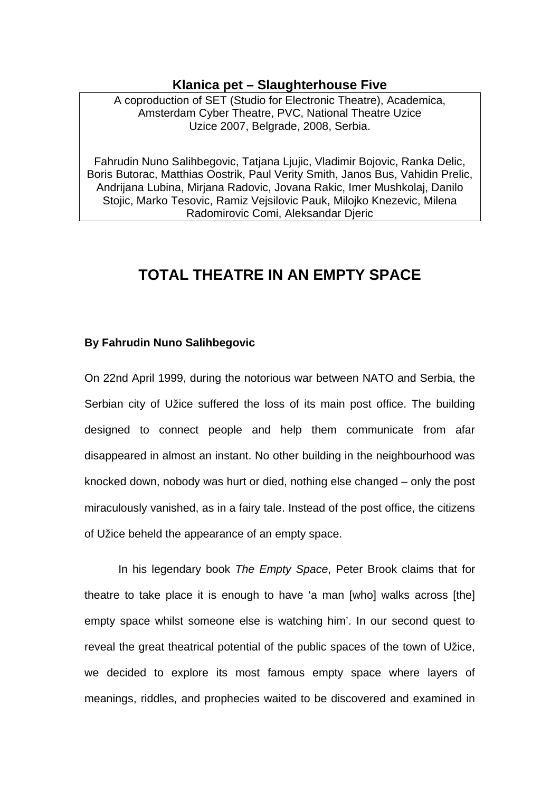## **Klanica pet – Slaughterhouse Five**

A coproduction of SET (Studio for Electronic Theatre), Academica, Amsterdam Cyber Theatre, PVC, National Theatre Uzice Uzice 2007, Belgrade, 2008, Serbia.

Fahrudin Nuno Salihbegovic, Tatjana Ljujic, Vladimir Bojovic, Ranka Delic, Boris Butorac, Matthias Oostrik, Paul Verity Smith, Janos Bus, Vahidin Prelic, Andrijana Lubina, Mirjana Radovic, Jovana Rakic, Imer Mushkolaj, Danilo Stojic, Marko Tesovic, Ramiz Vejsilovic Pauk, Milojko Knezevic, Milena Radomirovic Comi, Aleksandar Djeric

# **TOTAL THEATRE IN AN EMPTY SPACE**

## **By Fahrudin Nuno Salihbegovic**

On 22nd April 1999, during the notorious war between NATO and Serbia, the Serbian city of Užice suffered the loss of its main post office. The building designed to connect people and help them communicate from afar disappeared in almost an instant. No other building in the neighbourhood was knocked down, nobody was hurt or died, nothing else changed – only the post miraculously vanished, as in a fairy tale. Instead of the post office, the citizens of Užice beheld the appearance of an empty space.

 In his legendary book *The Empty Space*, Peter Brook claims that for theatre to take place it is enough to have 'a man [who] walks across [the] empty space whilst someone else is watching him'. In our second quest to reveal the great theatrical potential of the public spaces of the town of Užice, we decided to explore its most famous empty space where layers of meanings, riddles, and prophecies waited to be discovered and examined in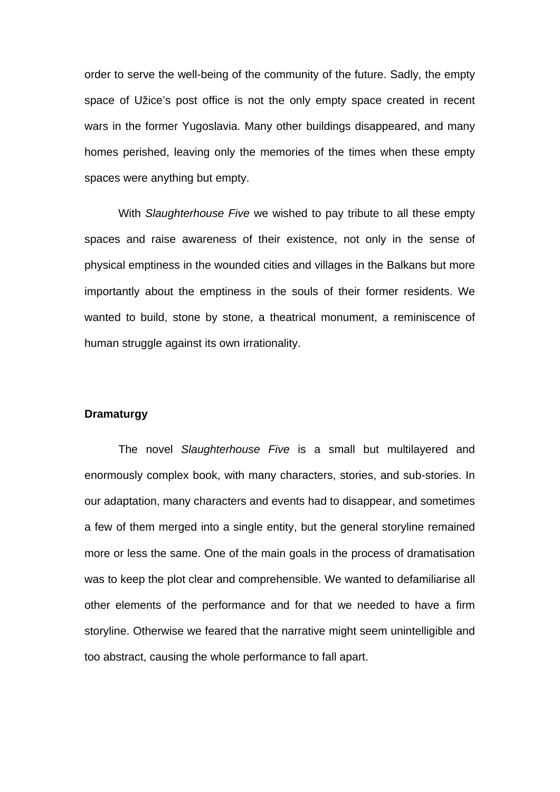order to serve the well-being of the community of the future. Sadly, the empty space of Užice's post office is not the only empty space created in recent wars in the former Yugoslavia. Many other buildings disappeared, and many homes perished, leaving only the memories of the times when these empty spaces were anything but empty.

 With *Slaughterhouse Five* we wished to pay tribute to all these empty spaces and raise awareness of their existence, not only in the sense of physical emptiness in the wounded cities and villages in the Balkans but more importantly about the emptiness in the souls of their former residents. We wanted to build, stone by stone, a theatrical monument, a reminiscence of human struggle against its own irrationality.

#### **Dramaturgy**

 The novel *Slaughterhouse Five* is a small but multilayered and enormously complex book, with many characters, stories, and sub-stories. In our adaptation, many characters and events had to disappear, and sometimes a few of them merged into a single entity, but the general storyline remained more or less the same. One of the main goals in the process of dramatisation was to keep the plot clear and comprehensible. We wanted to defamiliarise all other elements of the performance and for that we needed to have a firm storyline. Otherwise we feared that the narrative might seem unintelligible and too abstract, causing the whole performance to fall apart.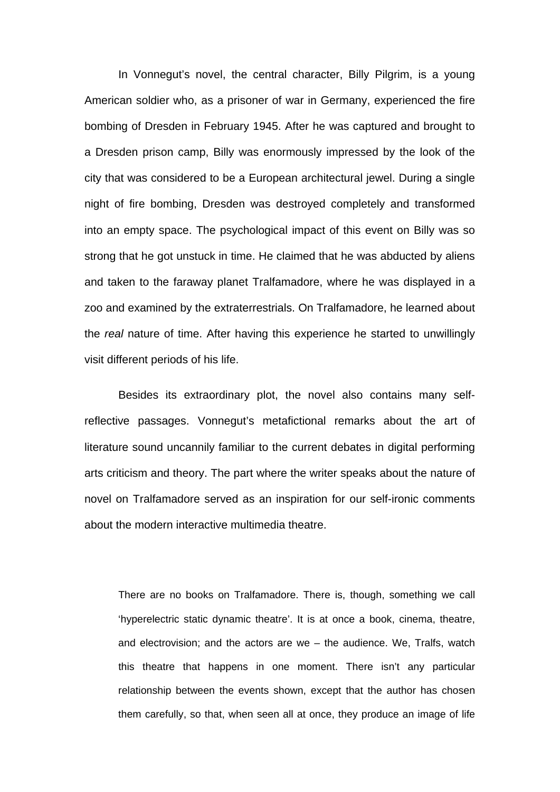In Vonnegut's novel, the central character, Billy Pilgrim, is a young American soldier who, as a prisoner of war in Germany, experienced the fire bombing of Dresden in February 1945. After he was captured and brought to a Dresden prison camp, Billy was enormously impressed by the look of the city that was considered to be a European architectural jewel. During a single night of fire bombing, Dresden was destroyed completely and transformed into an empty space. The psychological impact of this event on Billy was so strong that he got unstuck in time. He claimed that he was abducted by aliens and taken to the faraway planet Tralfamadore, where he was displayed in a zoo and examined by the extraterrestrials. On Tralfamadore, he learned about the *real* nature of time. After having this experience he started to unwillingly visit different periods of his life.

 Besides its extraordinary plot, the novel also contains many selfreflective passages. Vonnegut's metafictional remarks about the art of literature sound uncannily familiar to the current debates in digital performing arts criticism and theory. The part where the writer speaks about the nature of novel on Tralfamadore served as an inspiration for our self-ironic comments about the modern interactive multimedia theatre.

There are no books on Tralfamadore. There is, though, something we call 'hyperelectric static dynamic theatre'. It is at once a book, cinema, theatre, and electrovision; and the actors are we – the audience. We, Tralfs, watch this theatre that happens in one moment. There isn't any particular relationship between the events shown, except that the author has chosen them carefully, so that, when seen all at once, they produce an image of life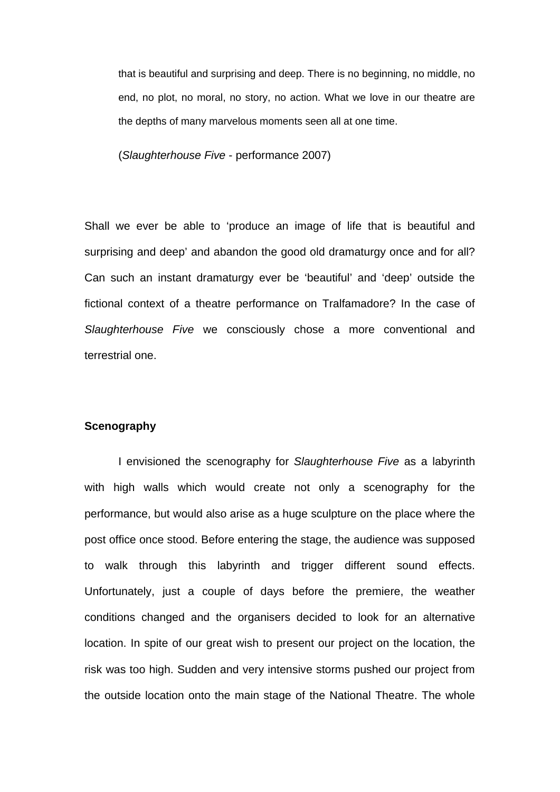that is beautiful and surprising and deep. There is no beginning, no middle, no end, no plot, no moral, no story, no action. What we love in our theatre are the depths of many marvelous moments seen all at one time.

(*Slaughterhouse Five* - performance 2007)

Shall we ever be able to 'produce an image of life that is beautiful and surprising and deep' and abandon the good old dramaturgy once and for all? Can such an instant dramaturgy ever be 'beautiful' and 'deep' outside the fictional context of a theatre performance on Tralfamadore? In the case of *Slaughterhouse Five* we consciously chose a more conventional and terrestrial one.

#### **Scenography**

 I envisioned the scenography for *Slaughterhouse Five* as a labyrinth with high walls which would create not only a scenography for the performance, but would also arise as a huge sculpture on the place where the post office once stood. Before entering the stage, the audience was supposed to walk through this labyrinth and trigger different sound effects. Unfortunately, just a couple of days before the premiere, the weather conditions changed and the organisers decided to look for an alternative location. In spite of our great wish to present our project on the location, the risk was too high. Sudden and very intensive storms pushed our project from the outside location onto the main stage of the National Theatre. The whole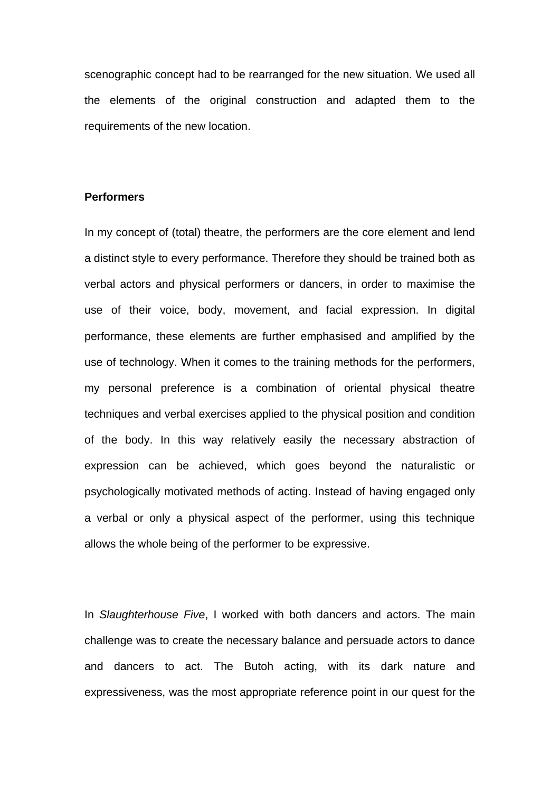scenographic concept had to be rearranged for the new situation. We used all the elements of the original construction and adapted them to the requirements of the new location.

### **Performers**

In my concept of (total) theatre, the performers are the core element and lend a distinct style to every performance. Therefore they should be trained both as verbal actors and physical performers or dancers, in order to maximise the use of their voice, body, movement, and facial expression. In digital performance, these elements are further emphasised and amplified by the use of technology. When it comes to the training methods for the performers, my personal preference is a combination of oriental physical theatre techniques and verbal exercises applied to the physical position and condition of the body. In this way relatively easily the necessary abstraction of expression can be achieved, which goes beyond the naturalistic or psychologically motivated methods of acting. Instead of having engaged only a verbal or only a physical aspect of the performer, using this technique allows the whole being of the performer to be expressive.

In *Slaughterhouse Five*, I worked with both dancers and actors. The main challenge was to create the necessary balance and persuade actors to dance and dancers to act. The Butoh acting, with its dark nature and expressiveness, was the most appropriate reference point in our quest for the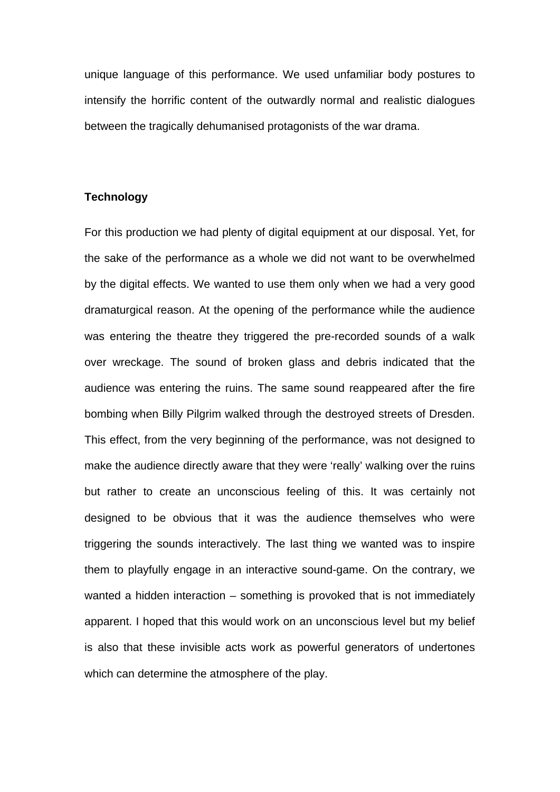unique language of this performance. We used unfamiliar body postures to intensify the horrific content of the outwardly normal and realistic dialogues between the tragically dehumanised protagonists of the war drama.

#### **Technology**

For this production we had plenty of digital equipment at our disposal. Yet, for the sake of the performance as a whole we did not want to be overwhelmed by the digital effects. We wanted to use them only when we had a very good dramaturgical reason. At the opening of the performance while the audience was entering the theatre they triggered the pre-recorded sounds of a walk over wreckage. The sound of broken glass and debris indicated that the audience was entering the ruins. The same sound reappeared after the fire bombing when Billy Pilgrim walked through the destroyed streets of Dresden. This effect, from the very beginning of the performance, was not designed to make the audience directly aware that they were 'really' walking over the ruins but rather to create an unconscious feeling of this. It was certainly not designed to be obvious that it was the audience themselves who were triggering the sounds interactively. The last thing we wanted was to inspire them to playfully engage in an interactive sound-game. On the contrary, we wanted a hidden interaction – something is provoked that is not immediately apparent. I hoped that this would work on an unconscious level but my belief is also that these invisible acts work as powerful generators of undertones which can determine the atmosphere of the play.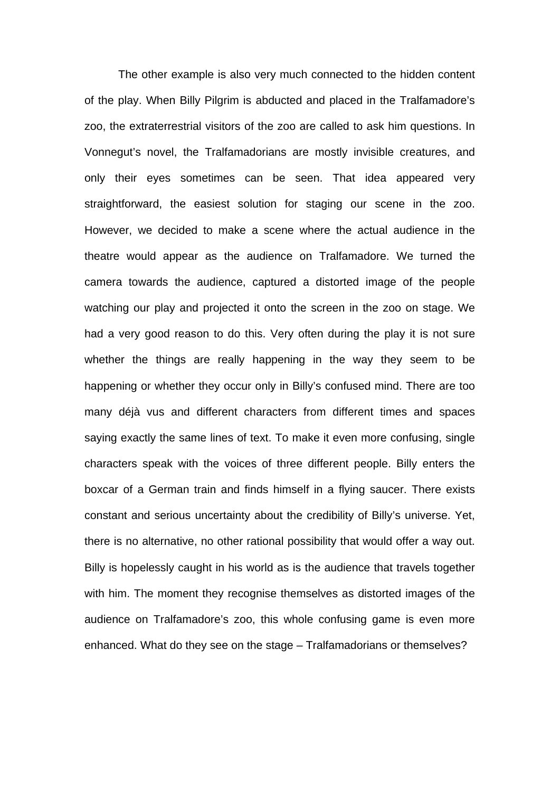The other example is also very much connected to the hidden content of the play. When Billy Pilgrim is abducted and placed in the Tralfamadore's zoo, the extraterrestrial visitors of the zoo are called to ask him questions. In Vonnegut's novel, the Tralfamadorians are mostly invisible creatures, and only their eyes sometimes can be seen. That idea appeared very straightforward, the easiest solution for staging our scene in the zoo. However, we decided to make a scene where the actual audience in the theatre would appear as the audience on Tralfamadore. We turned the camera towards the audience, captured a distorted image of the people watching our play and projected it onto the screen in the zoo on stage. We had a very good reason to do this. Very often during the play it is not sure whether the things are really happening in the way they seem to be happening or whether they occur only in Billy's confused mind. There are too many déjà vus and different characters from different times and spaces saying exactly the same lines of text. To make it even more confusing, single characters speak with the voices of three different people. Billy enters the boxcar of a German train and finds himself in a flying saucer. There exists constant and serious uncertainty about the credibility of Billy's universe. Yet, there is no alternative, no other rational possibility that would offer a way out. Billy is hopelessly caught in his world as is the audience that travels together with him. The moment they recognise themselves as distorted images of the audience on Tralfamadore's zoo, this whole confusing game is even more enhanced. What do they see on the stage – Tralfamadorians or themselves?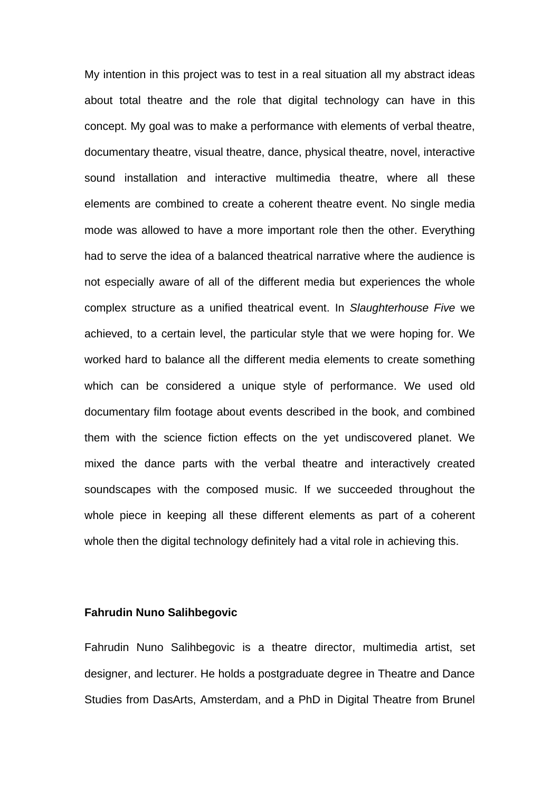My intention in this project was to test in a real situation all my abstract ideas about total theatre and the role that digital technology can have in this concept. My goal was to make a performance with elements of verbal theatre, documentary theatre, visual theatre, dance, physical theatre, novel, interactive sound installation and interactive multimedia theatre, where all these elements are combined to create a coherent theatre event. No single media mode was allowed to have a more important role then the other. Everything had to serve the idea of a balanced theatrical narrative where the audience is not especially aware of all of the different media but experiences the whole complex structure as a unified theatrical event. In *Slaughterhouse Five* we achieved, to a certain level, the particular style that we were hoping for. We worked hard to balance all the different media elements to create something which can be considered a unique style of performance. We used old documentary film footage about events described in the book, and combined them with the science fiction effects on the yet undiscovered planet. We mixed the dance parts with the verbal theatre and interactively created soundscapes with the composed music. If we succeeded throughout the whole piece in keeping all these different elements as part of a coherent whole then the digital technology definitely had a vital role in achieving this.

#### **Fahrudin Nuno Salihbegovic**

Fahrudin Nuno Salihbegovic is a theatre director, multimedia artist, set designer, and lecturer. He holds a postgraduate degree in Theatre and Dance Studies from DasArts, Amsterdam, and a PhD in Digital Theatre from Brunel